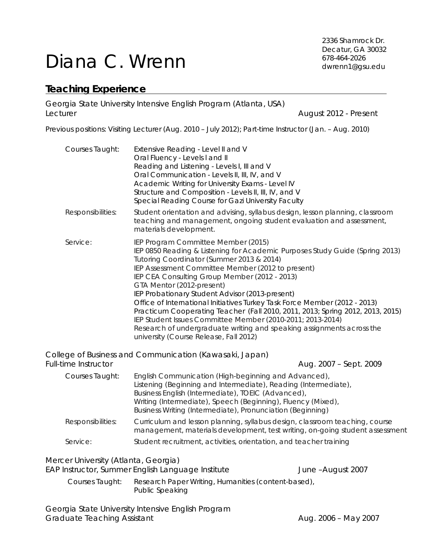# Diana C. Wrenn

2336 Shamrock Dr. Decatur, GA 30032 678-464-2026 dwrenn1@gsu.edu

## **Teaching Experience**

Georgia State University Intensive English Program (Atlanta, USA) Lecturer **August 2012 - Present** 

Previous positions: Visiting Lecturer (Aug. 2010 – July 2012); Part-time Instructor (Jan. – Aug. 2010)

| Courses Taught:                                                                                                 | Extensive Reading - Level II and V<br>Oral Fluency - Levels I and II<br>Reading and Listening - Levels I, Ill and V<br>Oral Communication - Levels II, III, IV, and V<br>Academic Writing for University Exams - Level IV<br>Structure and Composition - Levels II, III, IV, and V<br>Special Reading Course for Gazi University Faculty                                                                                                                                                                                              |                                                                                                                                                                |  |
|-----------------------------------------------------------------------------------------------------------------|---------------------------------------------------------------------------------------------------------------------------------------------------------------------------------------------------------------------------------------------------------------------------------------------------------------------------------------------------------------------------------------------------------------------------------------------------------------------------------------------------------------------------------------|----------------------------------------------------------------------------------------------------------------------------------------------------------------|--|
| Responsibilities:                                                                                               | teaching and management, ongoing student evaluation and assessment,<br>materials development.                                                                                                                                                                                                                                                                                                                                                                                                                                         | Student orientation and advising, syllabus design, lesson planning, classroom                                                                                  |  |
| Service:                                                                                                        | IEP Program Committee Member (2015)<br>Tutoring Coordinator (Summer 2013 & 2014)<br>IEP Assessment Committee Member (2012 to present)<br>IEP CEA Consulting Group Member (2012 - 2013)<br>GTA Mentor (2012-present)<br>IEP Probationary Student Advisor (2013-present)<br>Office of International Initiatives Turkey Task Force Member (2012 - 2013)<br>IEP Student Issues Committee Member (2010-2011; 2013-2014)<br>Research of undergraduate writing and speaking assignments across the<br>university (Course Release, Fall 2012) | IEP 0850 Reading & Listening for Academic Purposes Study Guide (Spring 2013)<br>Practicum Cooperating Teacher (Fall 2010, 2011, 2013; Spring 2012, 2013, 2015) |  |
| <b>Full-time Instructor</b>                                                                                     | College of Business and Communication (Kawasaki, Japan)                                                                                                                                                                                                                                                                                                                                                                                                                                                                               | Aug. 2007 - Sept. 2009                                                                                                                                         |  |
| Courses Taught:                                                                                                 | English Communication (High-beginning and Advanced),<br>Listening (Beginning and Intermediate), Reading (Intermediate),<br>Business English (Intermediate), TOEIC (Advanced),<br>Writing (Intermediate), Speech (Beginning), Fluency (Mixed),<br>Business Writing (Intermediate), Pronunciation (Beginning)                                                                                                                                                                                                                           |                                                                                                                                                                |  |
| Responsibilities:                                                                                               |                                                                                                                                                                                                                                                                                                                                                                                                                                                                                                                                       | Curriculum and lesson planning, syllabus design, classroom teaching, course<br>management, materials development, test writing, on-going student assessment    |  |
| Service:                                                                                                        | Student recruitment, activities, orientation, and teacher training                                                                                                                                                                                                                                                                                                                                                                                                                                                                    |                                                                                                                                                                |  |
| Mercer University (Atlanta, Georgia)<br>EAP Instructor, Summer English Language Institute<br>June - August 2007 |                                                                                                                                                                                                                                                                                                                                                                                                                                                                                                                                       |                                                                                                                                                                |  |

 Courses Taught: *Research Paper Writing, Humanities (content-based), Public Speaking* 

Georgia State University Intensive English Program Graduate Teaching Assistant **Aug. 2006 - May 2007**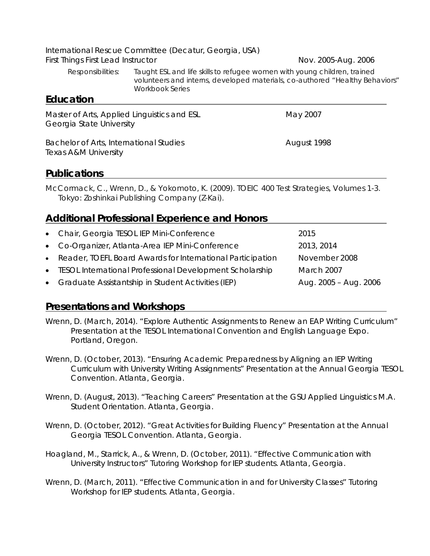International Rescue Committee (Decatur, Georgia, USA) First Things First Lead Instructor Nov. 2005-Aug. 2006

Responsibilities*: Taught ESL and life skills to refugee women with young children, trained volunteers and interns, developed materials, co-authored "Healthy Behaviors" Workbook Series* 

#### **Education**

| Bachelor of Arts, International Studies<br>Texas A&M University         | August 1998 |
|-------------------------------------------------------------------------|-------------|
| Master of Arts, Applied Linguistics and ESL<br>Georgia State University | May 2007    |

## **Publications**

McCormack, C., Wrenn, D., & Yokomoto, K. (2009). *TOEIC 400 Test Strategies*, *Volumes 1-3*. Tokyo: Zoshinkai Publishing Company (Z-Kai).

## **Additional Professional Experience and Honors**

| • Chair, Georgia TESOL IEP Mini-Conference                   | 2015                  |
|--------------------------------------------------------------|-----------------------|
| • Co-Organizer, Atlanta-Area IEP Mini-Conference             | 2013, 2014            |
| • Reader, TOEFL Board Awards for International Participation | November 2008         |
| • TESOL International Professional Development Scholarship   | March 2007            |
| • Graduate Assistantship in Student Activities (IEP)         | Aug. 2005 - Aug. 2006 |

#### **Presentations and Workshops**

- Wrenn, D. (March, 2014). "Explore Authentic Assignments to Renew an EAP Writing Curriculum" Presentation at the TESOL International Convention and English Language Expo. Portland, Oregon.
- Wrenn, D. (October, 2013). "Ensuring Academic Preparedness by Aligning an IEP Writing Curriculum with University Writing Assignments" Presentation at the Annual Georgia TESOL Convention. Atlanta, Georgia.
- Wrenn, D. (August, 2013). "Teaching Careers" Presentation at the GSU Applied Linguistics M.A. Student Orientation. Atlanta, Georgia.
- Wrenn, D. (October, 2012). "Great Activities for Building Fluency" Presentation at the Annual Georgia TESOL Convention. Atlanta, Georgia.
- Hoagland, M., Starrick, A., & Wrenn, D. (October, 2011). "Effective Communication with University Instructors" Tutoring Workshop for IEP students. Atlanta, Georgia.
- Wrenn, D. (March, 2011). "Effective Communication in and for University Classes" Tutoring Workshop for IEP students. Atlanta, Georgia.